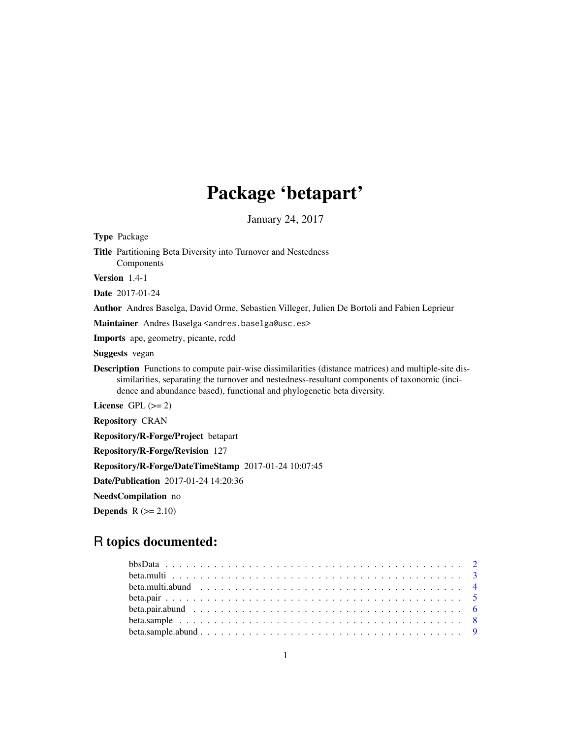# Package 'betapart'

January 24, 2017

**Depends**  $R (= 2.10)$ 

# R topics documented: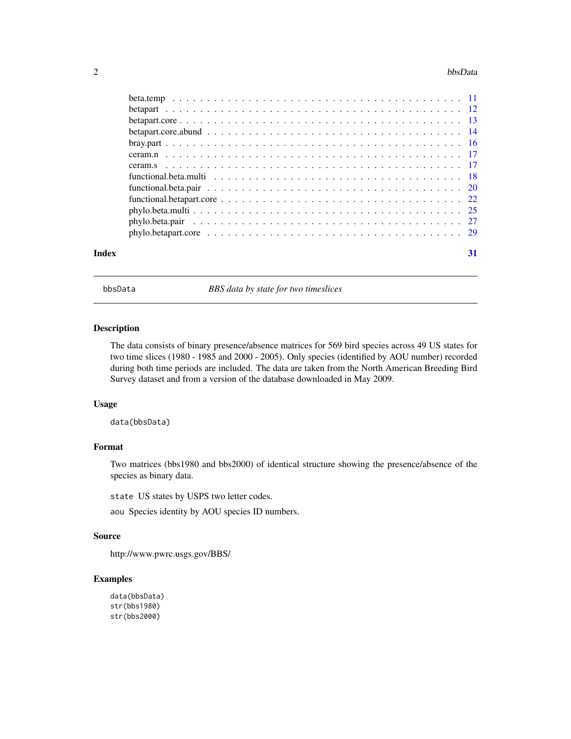#### <span id="page-1-0"></span> $2 \t\t bbsData$

| Index | 31 |
|-------|----|

bbsData *BBS data by state for two timeslices*

# Description

The data consists of binary presence/absence matrices for 569 bird species across 49 US states for two time slices (1980 - 1985 and 2000 - 2005). Only species (identified by AOU number) recorded during both time periods are included. The data are taken from the North American Breeding Bird Survey dataset and from a version of the database downloaded in May 2009.

# Usage

data(bbsData)

# Format

Two matrices (bbs1980 and bbs2000) of identical structure showing the presence/absence of the species as binary data.

state US states by USPS two letter codes.

aou Species identity by AOU species ID numbers.

# Source

```
http://www.pwrc.usgs.gov/BBS/
```

```
data(bbsData)
str(bbs1980)
str(bbs2000)
```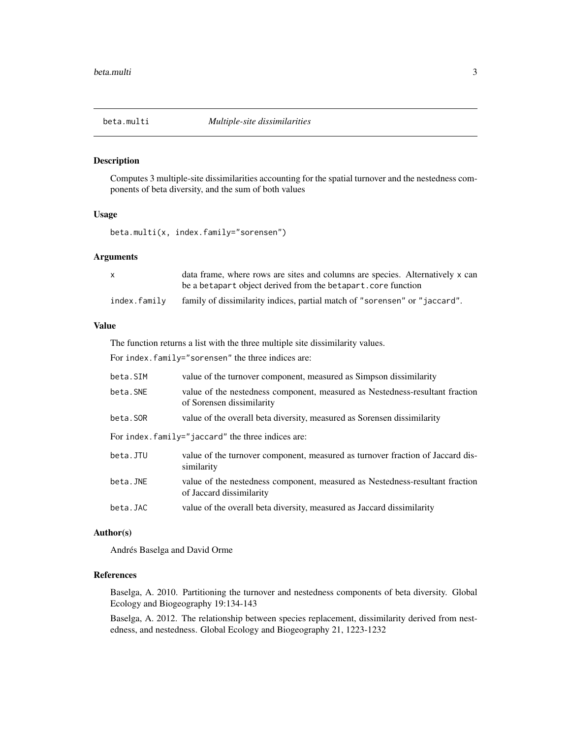<span id="page-2-1"></span><span id="page-2-0"></span>

# Description

Computes 3 multiple-site dissimilarities accounting for the spatial turnover and the nestedness components of beta diversity, and the sum of both values

# Usage

beta.multi(x, index.family="sorensen")

# Arguments

|              | data frame, where rows are sites and columns are species. Alternatively x can |
|--------------|-------------------------------------------------------------------------------|
|              | be a betapart object derived from the betapart, core function                 |
| index.familv | family of dissimilarity indices, partial match of "sorensen" or "jaccard".    |

# Value

The function returns a list with the three multiple site dissimilarity values.

For index.family="sorensen" the three indices are:

| beta.SIM                                          | value of the turnover component, measured as Simpson dissimilarity                                        |  |
|---------------------------------------------------|-----------------------------------------------------------------------------------------------------------|--|
| beta.SNE                                          | value of the nestedness component, measured as Nestedness-resultant fraction<br>of Sorensen dissimilarity |  |
| beta.SOR                                          | value of the overall beta diversity, measured as Sorensen dissimilarity                                   |  |
| For index.family="jaccard" the three indices are: |                                                                                                           |  |
| beta.JTU                                          | value of the turnover component, measured as turnover fraction of Jaccard dis-<br>similarity              |  |
| beta.JNE                                          | value of the nestedness component, measured as Nestedness-resultant fraction<br>of Jaccard dissimilarity  |  |
| beta.JAC                                          | value of the overall beta diversity, measured as Jaccard dissimilarity                                    |  |

#### Author(s)

Andrés Baselga and David Orme

# References

Baselga, A. 2010. Partitioning the turnover and nestedness components of beta diversity. Global Ecology and Biogeography 19:134-143

Baselga, A. 2012. The relationship between species replacement, dissimilarity derived from nestedness, and nestedness. Global Ecology and Biogeography 21, 1223-1232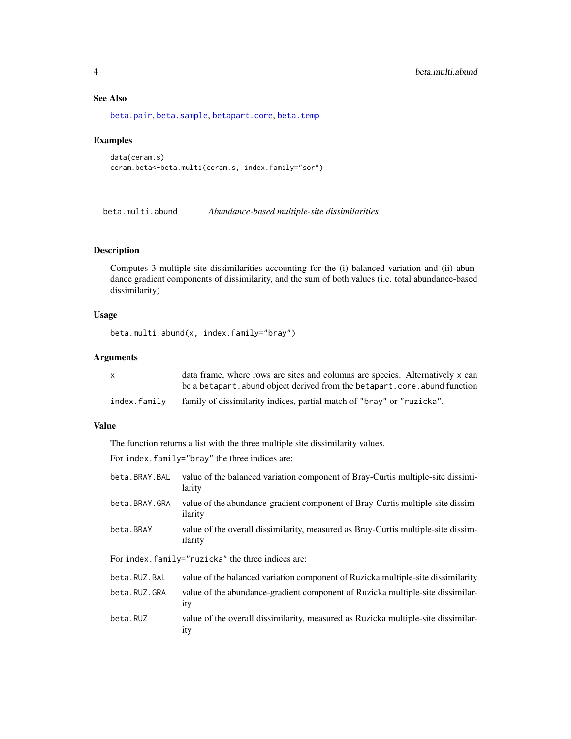# See Also

[beta.pair](#page-4-1), [beta.sample](#page-7-1), [betapart.core](#page-12-1), [beta.temp](#page-10-1)

# Examples

```
data(ceram.s)
ceram.beta<-beta.multi(ceram.s, index.family="sor")
```
<span id="page-3-1"></span>beta.multi.abund *Abundance-based multiple-site dissimilarities*

# Description

Computes 3 multiple-site dissimilarities accounting for the (i) balanced variation and (ii) abundance gradient components of dissimilarity, and the sum of both values (i.e. total abundance-based dissimilarity)

#### Usage

```
beta.multi.abund(x, index.family="bray")
```
# Arguments

|              | data frame, where rows are sites and columns are species. Alternatively x can |
|--------------|-------------------------------------------------------------------------------|
|              | be a betapart, abund object derived from the betapart, core, abund function   |
| index.family | family of dissimilarity indices, partial match of "bray" or "ruzicka".        |

# Value

The function returns a list with the three multiple site dissimilarity values.

For index.family="bray" the three indices are:

| beta.BRAY.BAL                                     | value of the balanced variation component of Bray-Curtis multiple-site dissimi-<br>larity       |  |
|---------------------------------------------------|-------------------------------------------------------------------------------------------------|--|
| beta.BRAY.GRA                                     | value of the abundance-gradient component of Bray-Curtis multiple-site dissim-<br>ilarity       |  |
| beta.BRAY                                         | value of the overall dissimilarity, measured as Bray-Curtis multiple-site dissim-<br>ilarity    |  |
| For index.family="ruzicka" the three indices are: |                                                                                                 |  |
| beta.RUZ.BAL                                      | value of the balanced variation component of Ruzicka multiple-site dissimilarity                |  |
| beta.RUZ.GRA                                      | value of the abundance-gradient component of Ruzicka multiple-site dissimilar-<br><i>ity</i>    |  |
| beta.RUZ                                          | value of the overall dissimilarity, measured as Ruzicka multiple-site dissimilar-<br><i>ity</i> |  |

<span id="page-3-0"></span>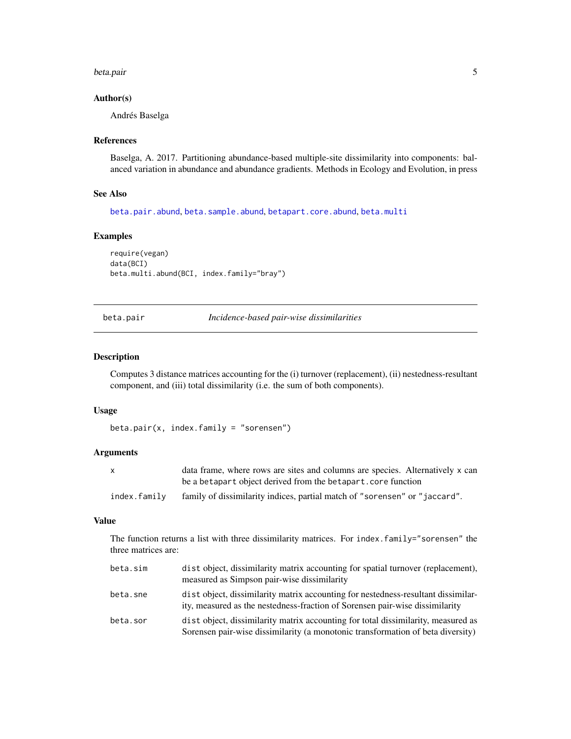#### <span id="page-4-0"></span>beta.pair 5

#### Author(s)

Andrés Baselga

#### References

Baselga, A. 2017. Partitioning abundance-based multiple-site dissimilarity into components: balanced variation in abundance and abundance gradients. Methods in Ecology and Evolution, in press

#### See Also

[beta.pair.abund](#page-5-1), [beta.sample.abund](#page-8-1), [betapart.core.abund](#page-13-1), [beta.multi](#page-2-1)

# Examples

```
require(vegan)
data(BCI)
beta.multi.abund(BCI, index.family="bray")
```
<span id="page-4-1"></span>beta.pair *Incidence-based pair-wise dissimilarities*

#### Description

Computes 3 distance matrices accounting for the (i) turnover (replacement), (ii) nestedness-resultant component, and (iii) total dissimilarity (i.e. the sum of both components).

#### Usage

beta.pair(x, index.family = "sorensen")

#### Arguments

|              | data frame, where rows are sites and columns are species. Alternatively x can |
|--------------|-------------------------------------------------------------------------------|
|              | be a betapart object derived from the betapart, core function                 |
| index.family | family of dissimilarity indices, partial match of "sorensen" or "jaccard".    |

# Value

The function returns a list with three dissimilarity matrices. For index.family="sorensen" the three matrices are:

| beta.sim | dist object, dissimilarity matrix accounting for spatial turnover (replacement),<br>measured as Simpson pair-wise dissimilarity                                      |
|----------|----------------------------------------------------------------------------------------------------------------------------------------------------------------------|
| beta.sne | dist object, dissimilarity matrix accounting for nestedness-resultant dissimilar-<br>ity, measured as the nestedness-fraction of Sorensen pair-wise dissimilarity    |
| beta.sor | dist object, dissimilarity matrix accounting for total dissimilarity, measured as<br>Sorensen pair-wise dissimilarity (a monotonic transformation of beta diversity) |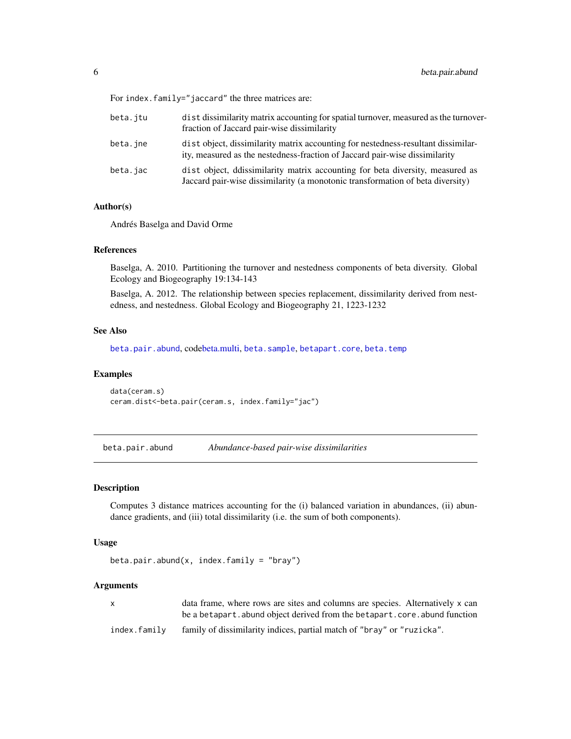<span id="page-5-0"></span>For index.family="jaccard" the three matrices are:

| beta.itu | dist dissimilarity matrix accounting for spatial turnover, measured as the turnover-<br>fraction of Jaccard pair-wise dissimilarity                              |
|----------|------------------------------------------------------------------------------------------------------------------------------------------------------------------|
| beta.jne | dist object, dissimilarity matrix accounting for nestedness-resultant dissimilar-<br>ity, measured as the nestedness-fraction of Jaccard pair-wise dissimilarity |
| beta.jac | dist object, ddissimilarity matrix accounting for beta diversity, measured as<br>Jaccard pair-wise dissimilarity (a monotonic transformation of beta diversity)  |

#### Author(s)

Andrés Baselga and David Orme

#### References

Baselga, A. 2010. Partitioning the turnover and nestedness components of beta diversity. Global Ecology and Biogeography 19:134-143

Baselga, A. 2012. The relationship between species replacement, dissimilarity derived from nestedness, and nestedness. Global Ecology and Biogeography 21, 1223-1232

# See Also

[beta.pair.abund](#page-5-1), cod[ebeta.multi,](#page-2-1) [beta.sample](#page-7-1), [betapart.core](#page-12-1), [beta.temp](#page-10-1)

## Examples

```
data(ceram.s)
ceram.dist<-beta.pair(ceram.s, index.family="jac")
```
<span id="page-5-1"></span>beta.pair.abund *Abundance-based pair-wise dissimilarities*

## Description

Computes 3 distance matrices accounting for the (i) balanced variation in abundances, (ii) abundance gradients, and (iii) total dissimilarity (i.e. the sum of both components).

# Usage

```
beta.pair.abund(x, index.family = "bray")
```
# Arguments

| X.           | data frame, where rows are sites and columns are species. Alternatively x can |
|--------------|-------------------------------------------------------------------------------|
|              | be a betapart, abund object derived from the betapart, core, abund function   |
| index.familv | family of dissimilarity indices, partial match of "bray" or "ruzicka".        |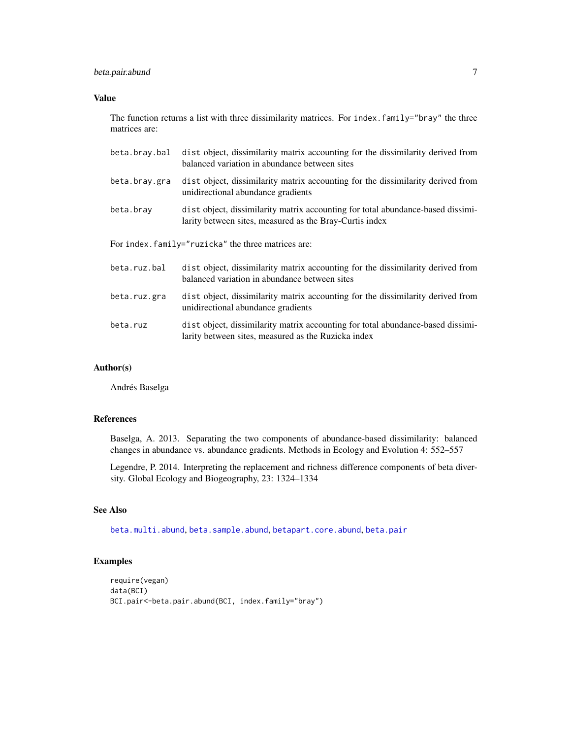# <span id="page-6-0"></span>beta.pair.abund 7

# Value

The function returns a list with three dissimilarity matrices. For index.family="bray" the three matrices are:

| beta.bray.bal | dist object, dissimilarity matrix accounting for the dissimilarity derived from<br>balanced variation in abundance between sites           |
|---------------|--------------------------------------------------------------------------------------------------------------------------------------------|
| beta.bray.gra | dist object, dissimilarity matrix accounting for the dissimilarity derived from<br>unidirectional abundance gradients                      |
| beta.bray     | dist object, dissimilarity matrix accounting for total abundance-based dissimi-<br>larity between sites, measured as the Bray-Curtis index |
|               | For index.family="ruzicka" the three matrices are:                                                                                         |
| beta.ruz.bal  | dist object, dissimilarity matrix accounting for the dissimilarity derived from<br>balanced variation in abundance between sites           |
| beta.ruz.gra  | dist object, dissimilarity matrix accounting for the dissimilarity derived from<br>unidirectional abundance gradients                      |
| beta.ruz      | dist object, dissimilarity matrix accounting for total abundance-based dissimi-<br>larity between sites, measured as the Ruzicka index     |

# Author(s)

Andrés Baselga

# References

Baselga, A. 2013. Separating the two components of abundance-based dissimilarity: balanced changes in abundance vs. abundance gradients. Methods in Ecology and Evolution 4: 552–557

Legendre, P. 2014. Interpreting the replacement and richness difference components of beta diversity. Global Ecology and Biogeography, 23: 1324–1334

# See Also

[beta.multi.abund](#page-3-1), [beta.sample.abund](#page-8-1), [betapart.core.abund](#page-13-1), [beta.pair](#page-4-1)

```
require(vegan)
data(BCI)
BCI.pair<-beta.pair.abund(BCI, index.family="bray")
```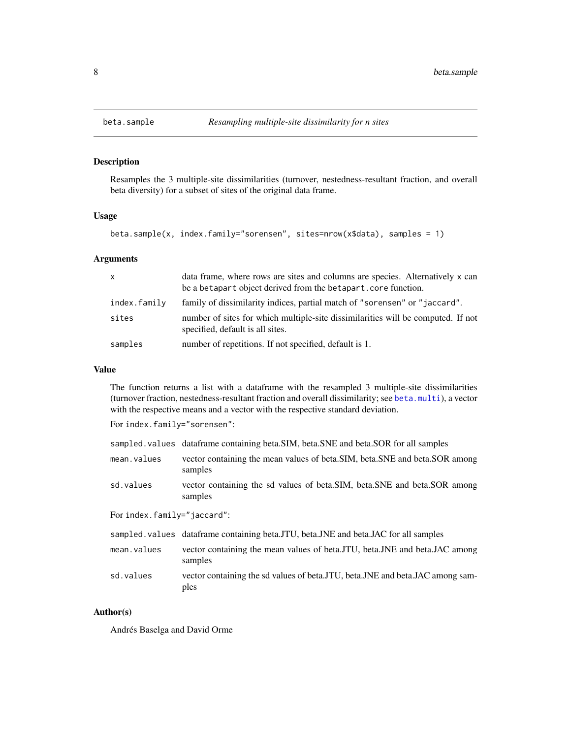<span id="page-7-1"></span><span id="page-7-0"></span>

# Description

Resamples the 3 multiple-site dissimilarities (turnover, nestedness-resultant fraction, and overall beta diversity) for a subset of sites of the original data frame.

# Usage

beta.sample(x, index.family="sorensen", sites=nrow(x\$data), samples = 1)

# Arguments

| $\mathsf{x}$ | data frame, where rows are sites and columns are species. Alternatively x can<br>be a betapart object derived from the betapart. core function. |
|--------------|-------------------------------------------------------------------------------------------------------------------------------------------------|
| index.family | family of dissimilarity indices, partial match of "sorensen" or "jaccard".                                                                      |
| sites        | number of sites for which multiple-site dissimilarities will be computed. If not<br>specified, default is all sites.                            |
| samples      | number of repetitions. If not specified, default is 1.                                                                                          |

# Value

The function returns a list with a dataframe with the resampled 3 multiple-site dissimilarities (turnover fraction, nestedness-resultant fraction and overall dissimilarity; see [beta.multi](#page-2-1)), a vector with the respective means and a vector with the respective standard deviation.

For index.family="sorensen":

|                            | sampled values dataframe containing beta.SIM, beta.SNE and beta.SOR for all samples      |  |
|----------------------------|------------------------------------------------------------------------------------------|--|
| mean.values                | vector containing the mean values of beta. SIM, beta. SNE and beta. SOR among<br>samples |  |
| sd.values                  | vector containing the sd values of beta.SIM, beta.SNE and beta.SOR among<br>samples      |  |
| Forindex.family="jaccard": |                                                                                          |  |
|                            | sampled values dataframe containing beta.JTU, beta.JNE and beta.JAC for all samples      |  |
| mean.values                | vector containing the mean values of beta. TU, beta. JNE and beta. JAC among<br>samples  |  |
| sd.values                  | vector containing the sd values of beta. JTU, beta. JNE and beta. JAC among sam-<br>ples |  |

# Author(s)

Andrés Baselga and David Orme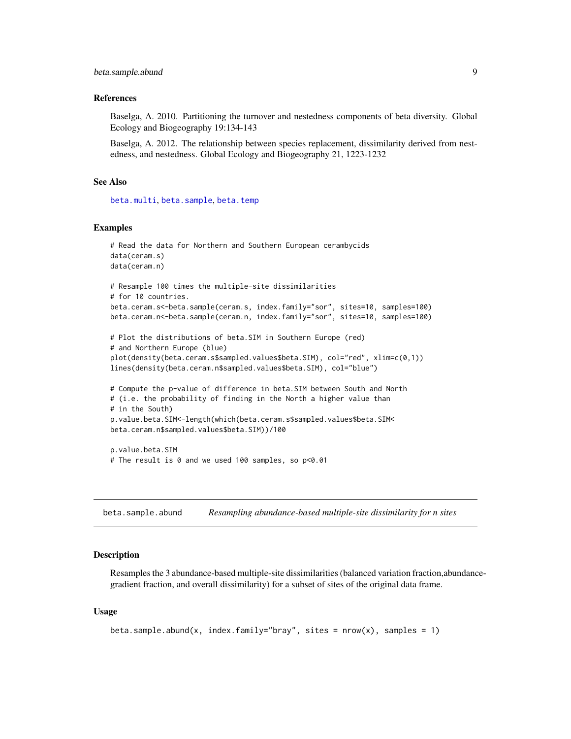#### <span id="page-8-0"></span>References

Baselga, A. 2010. Partitioning the turnover and nestedness components of beta diversity. Global Ecology and Biogeography 19:134-143

Baselga, A. 2012. The relationship between species replacement, dissimilarity derived from nestedness, and nestedness. Global Ecology and Biogeography 21, 1223-1232

# See Also

[beta.multi](#page-2-1), [beta.sample](#page-7-1), [beta.temp](#page-10-1)

#### Examples

```
# Read the data for Northern and Southern European cerambycids
data(ceram.s)
data(ceram.n)
# Resample 100 times the multiple-site dissimilarities
# for 10 countries.
beta.ceram.s<-beta.sample(ceram.s, index.family="sor", sites=10, samples=100)
beta.ceram.n<-beta.sample(ceram.n, index.family="sor", sites=10, samples=100)
# Plot the distributions of beta.SIM in Southern Europe (red)
# and Northern Europe (blue)
plot(density(beta.ceram.s$sampled.values$beta.SIM), col="red", xlim=c(0,1))
lines(density(beta.ceram.n$sampled.values$beta.SIM), col="blue")
# Compute the p-value of difference in beta.SIM between South and North
# (i.e. the probability of finding in the North a higher value than
# in the South)
p.value.beta.SIM<-length(which(beta.ceram.s$sampled.values$beta.SIM<
beta.ceram.n$sampled.values$beta.SIM))/100
p.value.beta.SIM
# The result is 0 and we used 100 samples, so p<0.01
```
<span id="page-8-1"></span>beta.sample.abund *Resampling abundance-based multiple-site dissimilarity for n sites*

#### Description

Resamples the 3 abundance-based multiple-site dissimilarities (balanced variation fraction,abundancegradient fraction, and overall dissimilarity) for a subset of sites of the original data frame.

#### Usage

```
beta.sample.abund(x, index.family="bray", sites = nrow(x), samples = 1)
```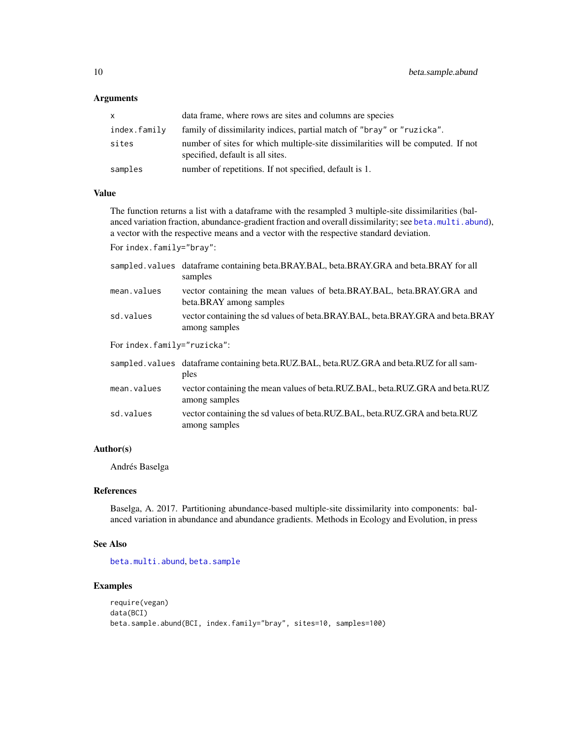#### <span id="page-9-0"></span>Arguments

| x.           | data frame, where rows are sites and columns are species                                                             |
|--------------|----------------------------------------------------------------------------------------------------------------------|
| index.family | family of dissimilarity indices, partial match of "bray" or "ruzicka".                                               |
| sites        | number of sites for which multiple-site dissimilarities will be computed. If not<br>specified, default is all sites. |
| samples      | number of repetitions. If not specified, default is 1.                                                               |

#### Value

The function returns a list with a dataframe with the resampled 3 multiple-site dissimilarities (balanced variation fraction, abundance-gradient fraction and overall dissimilarity; see [beta.multi.abund](#page-3-1)), a vector with the respective means and a vector with the respective standard deviation.

For index.family="bray":

|                             | sampled values data frame containing beta.BRAY.BAL, beta.BRAY.GRA and beta.BRAY for all<br>samples |  |
|-----------------------------|----------------------------------------------------------------------------------------------------|--|
| mean.values                 | vector containing the mean values of beta.BRAY.BAL, beta.BRAY.GRA and<br>beta.BRAY among samples   |  |
| sd.values                   | vector containing the sd values of beta.BRAY.BAL, beta.BRAY.GRA and beta.BRAY<br>among samples     |  |
| For index.family="ruzicka": |                                                                                                    |  |
|                             | sampled. values dataframe containing beta.RUZ.BAL, beta.RUZ.GRA and beta.RUZ for all sam-<br>ples  |  |
| mean.values                 | vector containing the mean values of beta.RUZ.BAL, beta.RUZ.GRA and beta.RUZ<br>among samples      |  |
| sd.values                   | vector containing the sd values of beta.RUZ.BAL, beta.RUZ.GRA and beta.RUZ<br>among samples        |  |

# Author(s)

Andrés Baselga

# References

Baselga, A. 2017. Partitioning abundance-based multiple-site dissimilarity into components: balanced variation in abundance and abundance gradients. Methods in Ecology and Evolution, in press

#### See Also

[beta.multi.abund](#page-3-1), [beta.sample](#page-7-1)

```
require(vegan)
data(BCI)
beta.sample.abund(BCI, index.family="bray", sites=10, samples=100)
```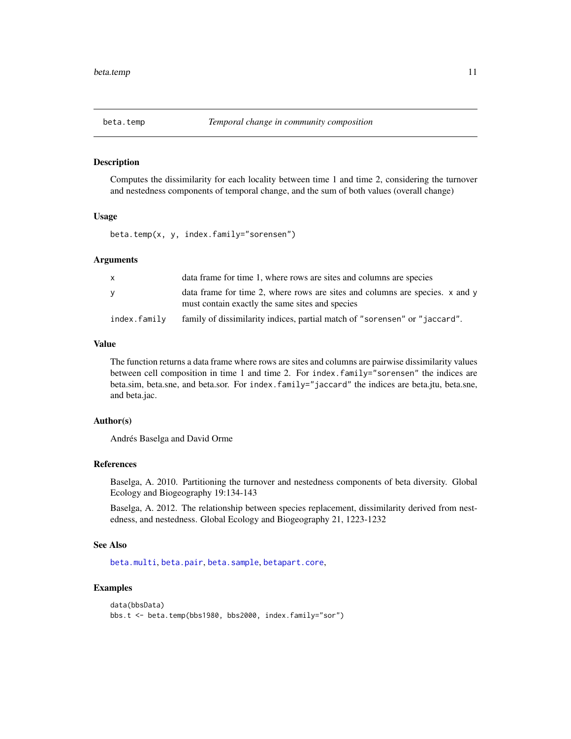#### <span id="page-10-1"></span><span id="page-10-0"></span>Description

Computes the dissimilarity for each locality between time 1 and time 2, considering the turnover and nestedness components of temporal change, and the sum of both values (overall change)

#### Usage

beta.temp(x, y, index.family="sorensen")

# Arguments

| X            | data frame for time 1, where rows are sites and columns are species                                                             |
|--------------|---------------------------------------------------------------------------------------------------------------------------------|
| V            | data frame for time 2, where rows are sites and columns are species. x and y<br>must contain exactly the same sites and species |
| index.family | family of dissimilarity indices, partial match of "sorensen" or "jaccard".                                                      |

# Value

The function returns a data frame where rows are sites and columns are pairwise dissimilarity values between cell composition in time 1 and time 2. For index.family="sorensen" the indices are beta.sim, beta.sne, and beta.sor. For index.family="jaccard" the indices are beta.jtu, beta.sne, and beta.jac.

### Author(s)

Andrés Baselga and David Orme

#### References

Baselga, A. 2010. Partitioning the turnover and nestedness components of beta diversity. Global Ecology and Biogeography 19:134-143

Baselga, A. 2012. The relationship between species replacement, dissimilarity derived from nestedness, and nestedness. Global Ecology and Biogeography 21, 1223-1232

#### See Also

[beta.multi](#page-2-1), [beta.pair](#page-4-1), [beta.sample](#page-7-1), [betapart.core](#page-12-1),

```
data(bbsData)
bbs.t <- beta.temp(bbs1980, bbs2000, index.family="sor")
```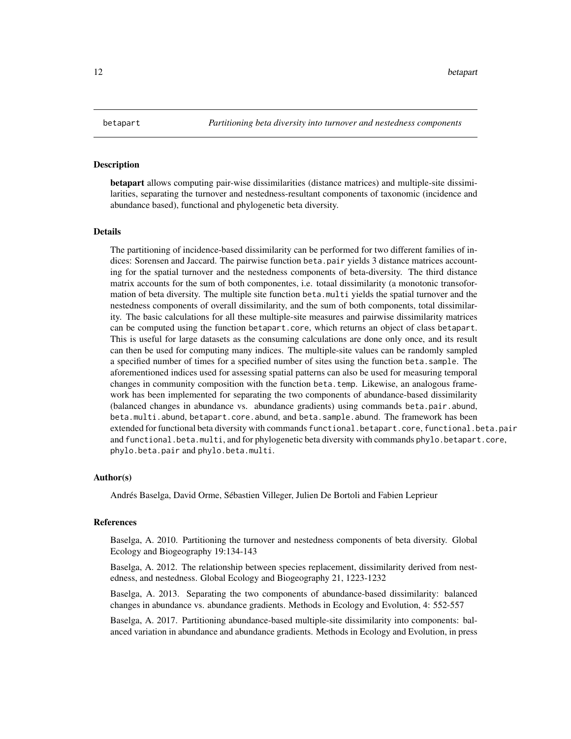#### <span id="page-11-0"></span>Description

betapart allows computing pair-wise dissimilarities (distance matrices) and multiple-site dissimilarities, separating the turnover and nestedness-resultant components of taxonomic (incidence and abundance based), functional and phylogenetic beta diversity.

#### Details

The partitioning of incidence-based dissimilarity can be performed for two different families of indices: Sorensen and Jaccard. The pairwise function beta.pair yields 3 distance matrices accounting for the spatial turnover and the nestedness components of beta-diversity. The third distance matrix accounts for the sum of both componentes, i.e. totaal dissimilarity (a monotonic transoformation of beta diversity. The multiple site function beta.multi yields the spatial turnover and the nestedness components of overall dissimilarity, and the sum of both components, total dissimilarity. The basic calculations for all these multiple-site measures and pairwise dissimilarity matrices can be computed using the function betapart.core, which returns an object of class betapart. This is useful for large datasets as the consuming calculations are done only once, and its result can then be used for computing many indices. The multiple-site values can be randomly sampled a specified number of times for a specified number of sites using the function beta.sample. The aforementioned indices used for assessing spatial patterns can also be used for measuring temporal changes in community composition with the function beta.temp. Likewise, an analogous framework has been implemented for separating the two components of abundance-based dissimilarity (balanced changes in abundance vs. abundance gradients) using commands beta.pair.abund, beta.multi.abund, betapart.core.abund, and beta.sample.abund. The framework has been extended for functional beta diversity with commands functional.betapart.core, functional.beta.pair and functional.beta.multi, and for phylogenetic beta diversity with commands phylo.betapart.core, phylo.beta.pair and phylo.beta.multi.

#### Author(s)

Andrés Baselga, David Orme, Sébastien Villeger, Julien De Bortoli and Fabien Leprieur

#### References

Baselga, A. 2010. Partitioning the turnover and nestedness components of beta diversity. Global Ecology and Biogeography 19:134-143

Baselga, A. 2012. The relationship between species replacement, dissimilarity derived from nestedness, and nestedness. Global Ecology and Biogeography 21, 1223-1232

Baselga, A. 2013. Separating the two components of abundance-based dissimilarity: balanced changes in abundance vs. abundance gradients. Methods in Ecology and Evolution, 4: 552-557

Baselga, A. 2017. Partitioning abundance-based multiple-site dissimilarity into components: balanced variation in abundance and abundance gradients. Methods in Ecology and Evolution, in press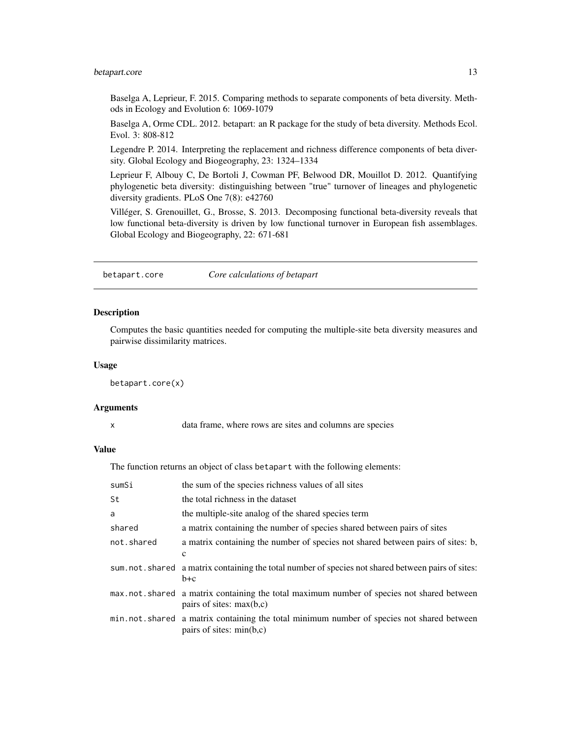# <span id="page-12-0"></span>betapart.core 13

Baselga A, Leprieur, F. 2015. Comparing methods to separate components of beta diversity. Methods in Ecology and Evolution 6: 1069-1079

Baselga A, Orme CDL. 2012. betapart: an R package for the study of beta diversity. Methods Ecol. Evol. 3: 808-812

Legendre P. 2014. Interpreting the replacement and richness difference components of beta diversity. Global Ecology and Biogeography, 23: 1324–1334

Leprieur F, Albouy C, De Bortoli J, Cowman PF, Belwood DR, Mouillot D. 2012. Quantifying phylogenetic beta diversity: distinguishing between "true" turnover of lineages and phylogenetic diversity gradients. PLoS One 7(8): e42760

Villéger, S. Grenouillet, G., Brosse, S. 2013. Decomposing functional beta-diversity reveals that low functional beta-diversity is driven by low functional turnover in European fish assemblages. Global Ecology and Biogeography, 22: 671-681

<span id="page-12-1"></span>betapart.core *Core calculations of betapart*

#### Description

Computes the basic quantities needed for computing the multiple-site beta diversity measures and pairwise dissimilarity matrices.

#### Usage

betapart.core(x)

#### Arguments

x data frame, where rows are sites and columns are species

# Value

The function returns an object of class betapart with the following elements:

| sumSi      | the sum of the species richness values of all sites                                                                     |
|------------|-------------------------------------------------------------------------------------------------------------------------|
| St         | the total richness in the dataset                                                                                       |
| a          | the multiple-site analog of the shared species term                                                                     |
| shared     | a matrix containing the number of species shared between pairs of sites                                                 |
| not.shared | a matrix containing the number of species not shared between pairs of sites: b,<br>$\mathbf c$                          |
|            | sum not shared a matrix containing the total number of species not shared between pairs of sites:<br>$b+c$              |
|            | max.not.shared a matrix containing the total maximum number of species not shared between<br>pairs of sites: $max(b,c)$ |
|            | min.not.shared a matrix containing the total minimum number of species not shared between<br>pairs of sites: $min(b,c)$ |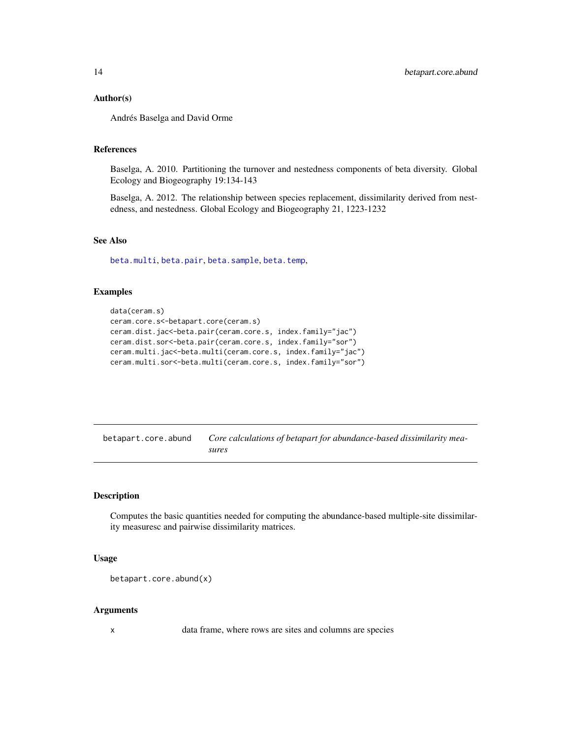#### <span id="page-13-0"></span>Author(s)

Andrés Baselga and David Orme

#### References

Baselga, A. 2010. Partitioning the turnover and nestedness components of beta diversity. Global Ecology and Biogeography 19:134-143

Baselga, A. 2012. The relationship between species replacement, dissimilarity derived from nestedness, and nestedness. Global Ecology and Biogeography 21, 1223-1232

# See Also

[beta.multi](#page-2-1), [beta.pair](#page-4-1), [beta.sample](#page-7-1), [beta.temp](#page-10-1),

# Examples

```
data(ceram.s)
ceram.core.s<-betapart.core(ceram.s)
ceram.dist.jac<-beta.pair(ceram.core.s, index.family="jac")
ceram.dist.sor<-beta.pair(ceram.core.s, index.family="sor")
ceram.multi.jac<-beta.multi(ceram.core.s, index.family="jac")
ceram.multi.sor<-beta.multi(ceram.core.s, index.family="sor")
```
<span id="page-13-1"></span>betapart.core.abund *Core calculations of betapart for abundance-based dissimilarity measures*

#### Description

Computes the basic quantities needed for computing the abundance-based multiple-site dissimilarity measuresc and pairwise dissimilarity matrices.

#### Usage

```
betapart.core.abund(x)
```
#### Arguments

x data frame, where rows are sites and columns are species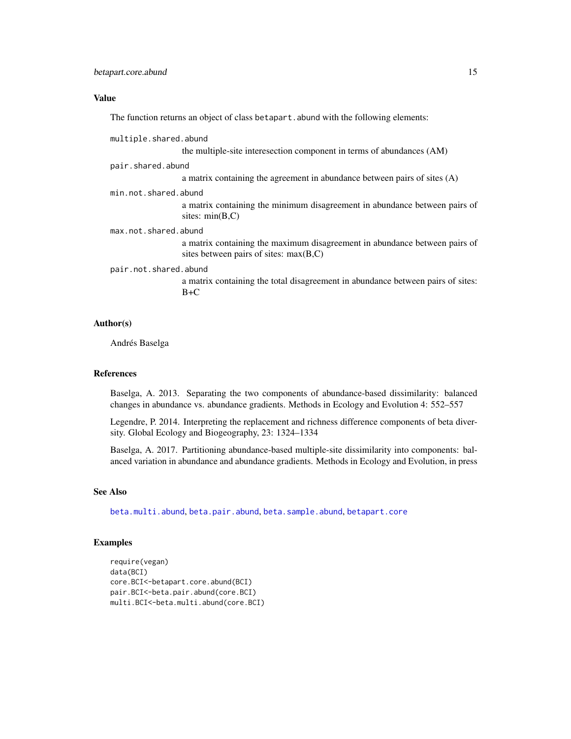# <span id="page-14-0"></span>Value

The function returns an object of class betapart.abund with the following elements:

| multiple.shared.abund |                                                                                                                        |
|-----------------------|------------------------------------------------------------------------------------------------------------------------|
|                       | the multiple-site interesection component in terms of abundances (AM)                                                  |
| pair.shared.abund     |                                                                                                                        |
|                       | a matrix containing the agreement in abundance between pairs of sites $(A)$                                            |
| min.not.shared.abund  |                                                                                                                        |
|                       | a matrix containing the minimum disagreement in abundance between pairs of<br>sites: $min(B,C)$                        |
| max.not.shared.abund  |                                                                                                                        |
|                       | a matrix containing the maximum disagreement in abundance between pairs of<br>sites between pairs of sites: $max(B,C)$ |
| pair.not.shared.abund |                                                                                                                        |
|                       | a matrix containing the total disagreement in abundance between pairs of sites:<br>$B+C$                               |
| <b>Author(s)</b>      |                                                                                                                        |

Andrés Baselga

#### References

Baselga, A. 2013. Separating the two components of abundance-based dissimilarity: balanced changes in abundance vs. abundance gradients. Methods in Ecology and Evolution 4: 552–557

Legendre, P. 2014. Interpreting the replacement and richness difference components of beta diversity. Global Ecology and Biogeography, 23: 1324–1334

Baselga, A. 2017. Partitioning abundance-based multiple-site dissimilarity into components: balanced variation in abundance and abundance gradients. Methods in Ecology and Evolution, in press

# See Also

[beta.multi.abund](#page-3-1), [beta.pair.abund](#page-5-1), [beta.sample.abund](#page-8-1), [betapart.core](#page-12-1)

```
require(vegan)
data(BCI)
core.BCI<-betapart.core.abund(BCI)
pair.BCI<-beta.pair.abund(core.BCI)
multi.BCI<-beta.multi.abund(core.BCI)
```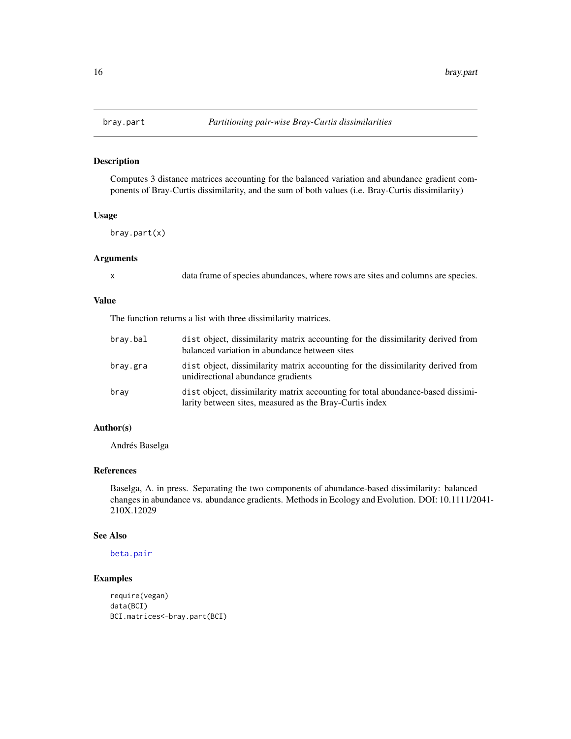<span id="page-15-0"></span>

## Description

Computes 3 distance matrices accounting for the balanced variation and abundance gradient components of Bray-Curtis dissimilarity, and the sum of both values (i.e. Bray-Curtis dissimilarity)

# Usage

bray.part(x)

#### Arguments

| S<br>٦ |  |
|--------|--|
| I<br>٦ |  |

data frame of species abundances, where rows are sites and columns are species.

#### Value

The function returns a list with three dissimilarity matrices.

| bray.bal | dist object, dissimilarity matrix accounting for the dissimilarity derived from<br>balanced variation in abundance between sites           |
|----------|--------------------------------------------------------------------------------------------------------------------------------------------|
| bray.gra | dist object, dissimilarity matrix accounting for the dissimilarity derived from<br>unidirectional abundance gradients                      |
| bray     | dist object, dissimilarity matrix accounting for total abundance-based dissimi-<br>larity between sites, measured as the Bray-Curtis index |

#### Author(s)

Andrés Baselga

#### References

Baselga, A. in press. Separating the two components of abundance-based dissimilarity: balanced changes in abundance vs. abundance gradients. Methods in Ecology and Evolution. DOI: 10.1111/2041- 210X.12029

# See Also

[beta.pair](#page-4-1)

```
require(vegan)
data(BCI)
BCI.matrices<-bray.part(BCI)
```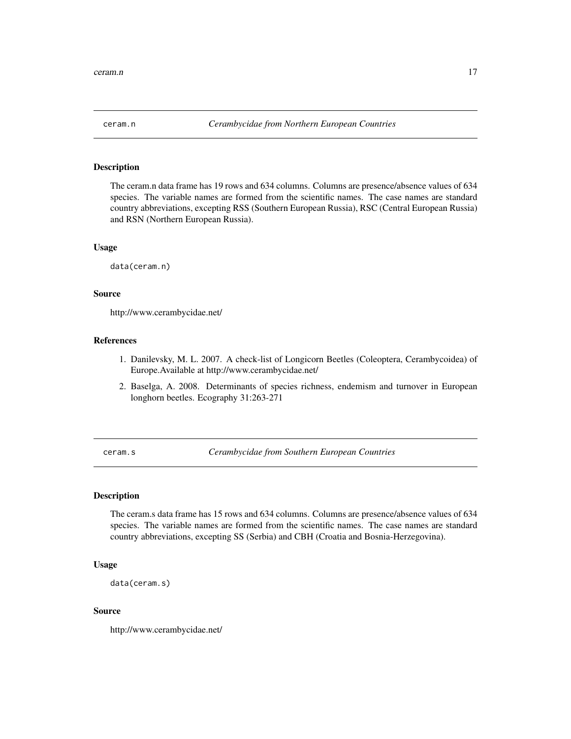<span id="page-16-0"></span>

# Description

The ceram.n data frame has 19 rows and 634 columns. Columns are presence/absence values of 634 species. The variable names are formed from the scientific names. The case names are standard country abbreviations, excepting RSS (Southern European Russia), RSC (Central European Russia) and RSN (Northern European Russia).

#### Usage

data(ceram.n)

# Source

http://www.cerambycidae.net/

# References

- 1. Danilevsky, M. L. 2007. A check-list of Longicorn Beetles (Coleoptera, Cerambycoidea) of Europe.Available at http://www.cerambycidae.net/
- 2. Baselga, A. 2008. Determinants of species richness, endemism and turnover in European longhorn beetles. Ecography 31:263-271

ceram.s *Cerambycidae from Southern European Countries*

#### Description

The ceram.s data frame has 15 rows and 634 columns. Columns are presence/absence values of 634 species. The variable names are formed from the scientific names. The case names are standard country abbreviations, excepting SS (Serbia) and CBH (Croatia and Bosnia-Herzegovina).

#### Usage

```
data(ceram.s)
```
# Source

http://www.cerambycidae.net/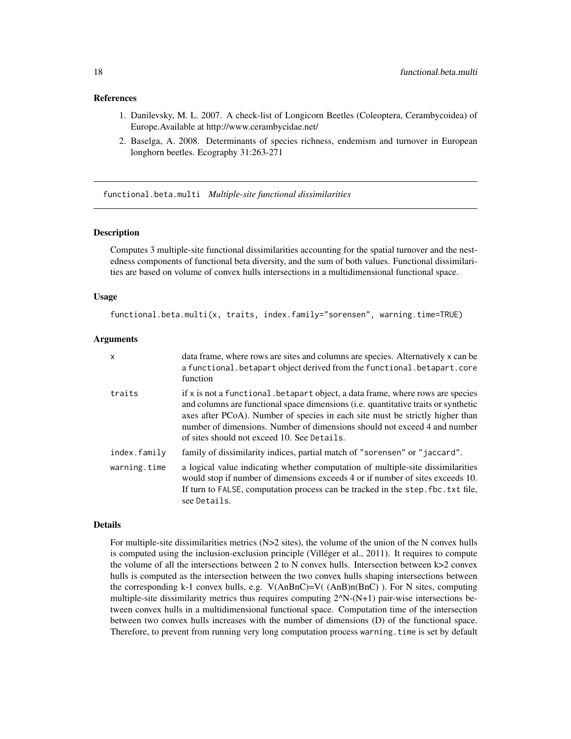#### <span id="page-17-0"></span>References

- 1. Danilevsky, M. L. 2007. A check-list of Longicorn Beetles (Coleoptera, Cerambycoidea) of Europe.Available at http://www.cerambycidae.net/
- 2. Baselga, A. 2008. Determinants of species richness, endemism and turnover in European longhorn beetles. Ecography 31:263-271

<span id="page-17-1"></span>functional.beta.multi *Multiple-site functional dissimilarities*

#### Description

Computes 3 multiple-site functional dissimilarities accounting for the spatial turnover and the nestedness components of functional beta diversity, and the sum of both values. Functional dissimilarities are based on volume of convex hulls intersections in a multidimensional functional space.

#### Usage

functional.beta.multi(x, traits, index.family="sorensen", warning.time=TRUE)

#### Arguments

| $\times$     | data frame, where rows are sites and columns are species. Alternatively x can be<br>a functional. betapart object derived from the functional. betapart. core<br>function                                                                                                                                                                                                          |
|--------------|------------------------------------------------------------------------------------------------------------------------------------------------------------------------------------------------------------------------------------------------------------------------------------------------------------------------------------------------------------------------------------|
| traits       | if x is not a functional. betapart object, a data frame, where rows are species<br>and columns are functional space dimensions (i.e. quantitative traits or synthetic<br>axes after PCoA). Number of species in each site must be strictly higher than<br>number of dimensions. Number of dimensions should not exceed 4 and number<br>of sites should not exceed 10. See Details. |
| index.family | family of dissimilarity indices, partial match of "sorensen" or "jaccard".                                                                                                                                                                                                                                                                                                         |
| warning.time | a logical value indicating whether computation of multiple-site dissimilarities<br>would stop if number of dimensions exceeds 4 or if number of sites exceeds 10.<br>If turn to FALSE, computation process can be tracked in the step. fbc. txt file,<br>see Details.                                                                                                              |

#### Details

For multiple-site dissimilarities metrics ( $N>2$  sites), the volume of the union of the N convex hulls is computed using the inclusion-exclusion principle (Villéger et al., 2011). It requires to compute the volume of all the intersections between 2 to N convex hulls. Intersection between k>2 convex hulls is computed as the intersection between the two convex hulls shaping intersections between the corresponding k-1 convex hulls, e.g.  $V(AnBnC)=V( (AnB)n(BnC)$ ). For N sites, computing multiple-site dissimilarity metrics thus requires computing  $2^N$ -(N+1) pair-wise intersections between convex hulls in a multidimensional functional space. Computation time of the intersection between two convex hulls increases with the number of dimensions (D) of the functional space. Therefore, to prevent from running very long computation process warning.time is set by default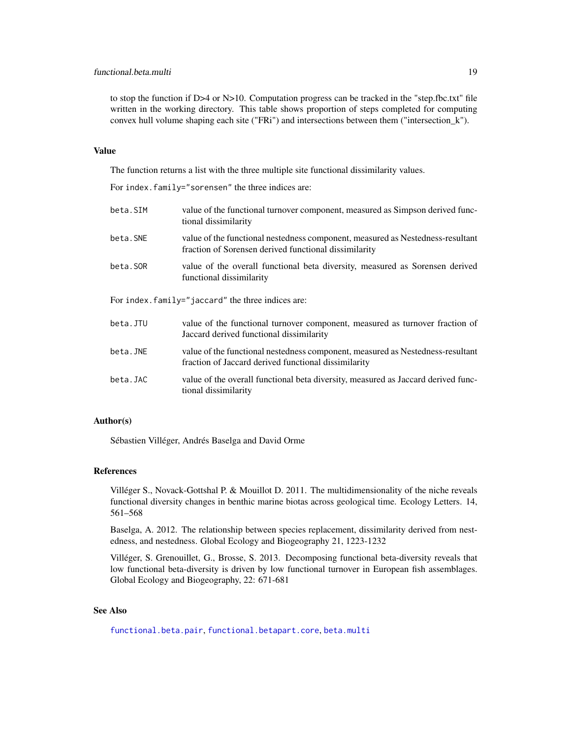# <span id="page-18-0"></span>functional.beta.multi 19

to stop the function if D>4 or N>10. Computation progress can be tracked in the "step.fbc.txt" file written in the working directory. This table shows proportion of steps completed for computing convex hull volume shaping each site ("FRi") and intersections between them ("intersection\_k").

### Value

The function returns a list with the three multiple site functional dissimilarity values.

For index.family="sorensen" the three indices are:

| beta.SIM                                           | value of the functional turnover component, measured as Simpson derived func-<br>tional dissimilarity                                   |  |
|----------------------------------------------------|-----------------------------------------------------------------------------------------------------------------------------------------|--|
| beta.SNE                                           | value of the functional nestedness component, measured as Nestedness-resultant<br>fraction of Sorensen derived functional dissimilarity |  |
| beta.SOR                                           | value of the overall functional beta diversity, measured as Sorensen derived<br>functional dissimilarity                                |  |
| For index. family="jaccard" the three indices are: |                                                                                                                                         |  |
| beta.JTU                                           | value of the functional turnover component, measured as turnover fraction of<br>Jaccard derived functional dissimilarity                |  |
| beta.JNE                                           | value of the functional nestedness component, measured as Nestedness-resultant<br>fraction of Jaccard derived functional dissimilarity  |  |

beta.JAC value of the overall functional beta diversity, measured as Jaccard derived functional dissimilarity

### Author(s)

Sébastien Villéger, Andrés Baselga and David Orme

#### References

Villéger S., Novack-Gottshal P. & Mouillot D. 2011. The multidimensionality of the niche reveals functional diversity changes in benthic marine biotas across geological time. Ecology Letters. 14, 561–568

Baselga, A. 2012. The relationship between species replacement, dissimilarity derived from nestedness, and nestedness. Global Ecology and Biogeography 21, 1223-1232

Villéger, S. Grenouillet, G., Brosse, S. 2013. Decomposing functional beta-diversity reveals that low functional beta-diversity is driven by low functional turnover in European fish assemblages. Global Ecology and Biogeography, 22: 671-681

# See Also

[functional.beta.pair](#page-19-1), [functional.betapart.core](#page-21-1), [beta.multi](#page-2-1)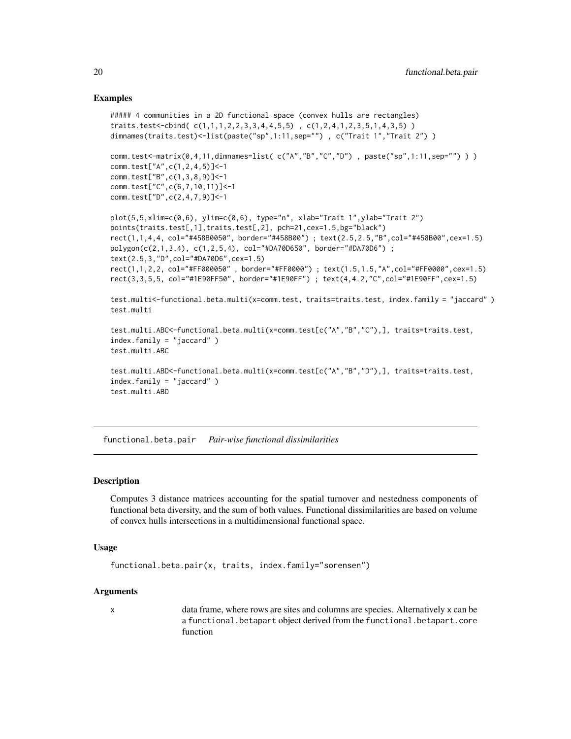#### Examples

```
##### 4 communities in a 2D functional space (convex hulls are rectangles)
traits.test<-cbind(c(1,1,1,2,2,3,3,4,4,5,5), c(1,2,4,1,2,3,5,1,4,3,5))
dimnames(traits.test) <- list(paste("sp", 1:11, sep=""), c("Trait 1", "Trait 2"))
comm.test<-matrix(0,4,11,dimnames=list( c("A","B","C","D") , paste("sp",1:11,sep="") ) )
comm.test["A",c(1,2,4,5)]<-1
comm.test["B",c(1,3,8,9)]<-1
comm.test["C",c(6,7,10,11)]<-1
comm.test["D",c(2,4,7,9)]<-1
plot(5,5,xlim=c(0,6), ylim=c(0,6), type="n", xlab="Trait 1",ylab="Trait 2")
points(traits.test[,1],traits.test[,2], pch=21,cex=1.5,bg="black")
rect(1,1,4,4, col="#458B0050", border="#458B00") ; text(2.5,2.5,"B",col="#458B00",cex=1.5)
polygon(c(2,1,3,4), c(1,2,5,4), col="#DA70D650", border="#DA70D6") ;
text(2.5,3,"D",col="#DA70D6",cex=1.5)
rect(1,1,2,2, col="#FF000050" , border="#FF0000") ; text(1.5,1.5,"A",col="#FF0000",cex=1.5)
rect(3,3,5,5, col="#1E90FF50", border="#1E90FF") ; text(4,4.2,"C",col="#1E90FF",cex=1.5)
test.multi<-functional.beta.multi(x=comm.test, traits=traits.test, index.family = "jaccard" )
test.multi
test.multi.ABC<-functional.beta.multi(x=comm.test[c("A","B","C"),], traits=traits.test,
index.family = "jaccard" )
test.multi.ABC
test.multi.ABD<-functional.beta.multi(x=comm.test[c("A","B","D"),], traits=traits.test,
index.family = "jaccard" )
test.multi.ABD
```
<span id="page-19-1"></span>functional.beta.pair *Pair-wise functional dissimilarities*

# Description

Computes 3 distance matrices accounting for the spatial turnover and nestedness components of functional beta diversity, and the sum of both values. Functional dissimilarities are based on volume of convex hulls intersections in a multidimensional functional space.

#### Usage

```
functional.beta.pair(x, traits, index.family="sorensen")
```
#### Arguments

x data frame, where rows are sites and columns are species. Alternatively x can be a functional.betapart object derived from the functional.betapart.core function

<span id="page-19-0"></span>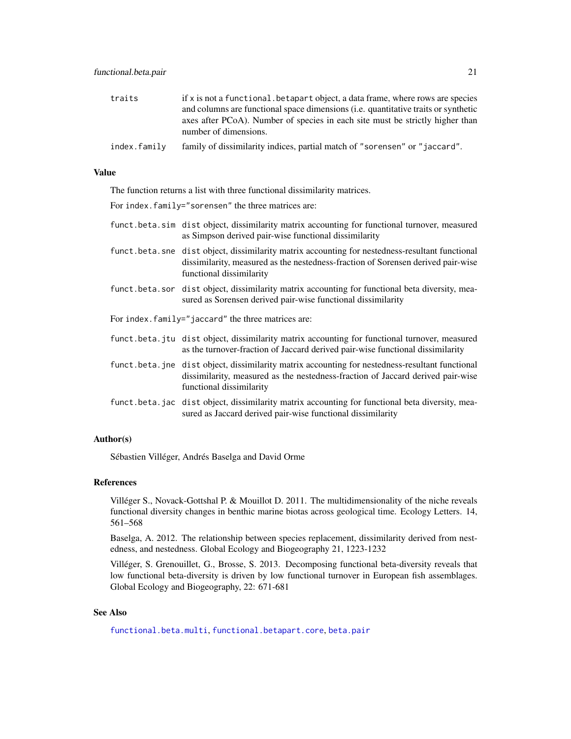<span id="page-20-0"></span>

| traits       | if x is not a functional. betapart object, a data frame, where rows are species                        |
|--------------|--------------------------------------------------------------------------------------------------------|
|              | and columns are functional space dimensions (i.e. quantitative traits or synthetic                     |
|              | axes after PCoA). Number of species in each site must be strictly higher than<br>number of dimensions. |
| index.family | family of dissimilarity indices, partial match of "sorensen" or "jaccard".                             |

#### Value

The function returns a list with three functional dissimilarity matrices.

For index.family="sorensen" the three matrices are:

- funct.beta.sim dist object, dissimilarity matrix accounting for functional turnover, measured as Simpson derived pair-wise functional dissimilarity
- funct.beta.sne dist object, dissimilarity matrix accounting for nestedness-resultant functional dissimilarity, measured as the nestedness-fraction of Sorensen derived pair-wise functional dissimilarity
- funct.beta.sor dist object, dissimilarity matrix accounting for functional beta diversity, measured as Sorensen derived pair-wise functional dissimilarity
- For index.family="jaccard" the three matrices are:
- funct.beta.jtu dist object, dissimilarity matrix accounting for functional turnover, measured as the turnover-fraction of Jaccard derived pair-wise functional dissimilarity
- funct.beta.jne dist object, dissimilarity matrix accounting for nestedness-resultant functional dissimilarity, measured as the nestedness-fraction of Jaccard derived pair-wise functional dissimilarity
- funct.beta.jac dist object, dissimilarity matrix accounting for functional beta diversity, measured as Jaccard derived pair-wise functional dissimilarity

# Author(s)

Sébastien Villéger, Andrés Baselga and David Orme

# References

Villéger S., Novack-Gottshal P. & Mouillot D. 2011. The multidimensionality of the niche reveals functional diversity changes in benthic marine biotas across geological time. Ecology Letters. 14, 561–568

Baselga, A. 2012. The relationship between species replacement, dissimilarity derived from nestedness, and nestedness. Global Ecology and Biogeography 21, 1223-1232

Villéger, S. Grenouillet, G., Brosse, S. 2013. Decomposing functional beta-diversity reveals that low functional beta-diversity is driven by low functional turnover in European fish assemblages. Global Ecology and Biogeography, 22: 671-681

# See Also

[functional.beta.multi](#page-17-1), [functional.betapart.core](#page-21-1), [beta.pair](#page-4-1)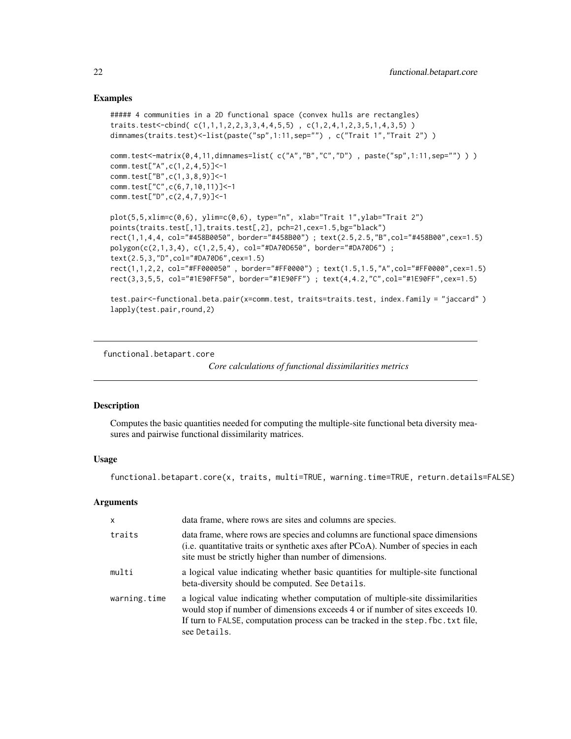# Examples

```
##### 4 communities in a 2D functional space (convex hulls are rectangles)
traits.test<-cbind(c(1,1,1,2,2,3,3,4,4,5,5), c(1,2,4,1,2,3,5,1,4,3,5))
dimnames(traits.test)<-list(paste("sp",1:11,sep=""), c("Trait 1","Trait 2"))
comm.test<-matrix(0,4,11,dimnames=list( c("A","B","C","D") , paste("sp",1:11,sep="") ) )
comm.test["A",c(1,2,4,5)]<-1
comm.test["B",c(1,3,8,9)]<-1
comm.test["C",c(6,7,10,11)]<-1
comm.test["D",c(2,4,7,9)]<-1
plot(5,5,xlim=c(0,6), ylim=c(0,6), type="n", xlab="Trait 1",ylab="Trait 2")
points(traits.test[,1],traits.test[,2], pch=21,cex=1.5,bg="black")
rect(1,1,4,4, col="#458B0050", border="#458B00") ; text(2.5,2.5,"B",col="#458B00",cex=1.5)
polygon(c(2,1,3,4), c(1,2,5,4), col="#DA70D650", border="#DA70D6") ;
text(2.5,3,"D",col="#DA70D6",cex=1.5)
rect(1,1,2,2, col="#FF000050" , border="#FF0000") ; text(1.5,1.5,"A",col="#FF0000",cex=1.5)
rect(3,3,5,5, col="#1E90FF50", border="#1E90FF") ; text(4,4.2,"C",col="#1E90FF",cex=1.5)
```

```
test.pair<-functional.beta.pair(x=comm.test, traits=traits.test, index.family = "jaccard" )
lapply(test.pair,round,2)
```
<span id="page-21-1"></span>functional.betapart.core

*Core calculations of functional dissimilarities metrics*

# **Description**

Computes the basic quantities needed for computing the multiple-site functional beta diversity measures and pairwise functional dissimilarity matrices.

#### Usage

functional.betapart.core(x, traits, multi=TRUE, warning.time=TRUE, return.details=FALSE)

#### Arguments

| $\times$     | data frame, where rows are sites and columns are species.                                                                                                                                                                                                             |
|--------------|-----------------------------------------------------------------------------------------------------------------------------------------------------------------------------------------------------------------------------------------------------------------------|
| traits       | data frame, where rows are species and columns are functional space dimensions<br>(i.e. quantitative traits or synthetic axes after PCoA). Number of species in each<br>site must be strictly higher than number of dimensions.                                       |
| multi        | a logical value indicating whether basic quantities for multiple-site functional<br>beta-diversity should be computed. See Details.                                                                                                                                   |
| warning.time | a logical value indicating whether computation of multiple-site dissimilarities<br>would stop if number of dimensions exceeds 4 or if number of sites exceeds 10.<br>If turn to FALSE, computation process can be tracked in the step. fbc. txt file,<br>see Details. |

<span id="page-21-0"></span>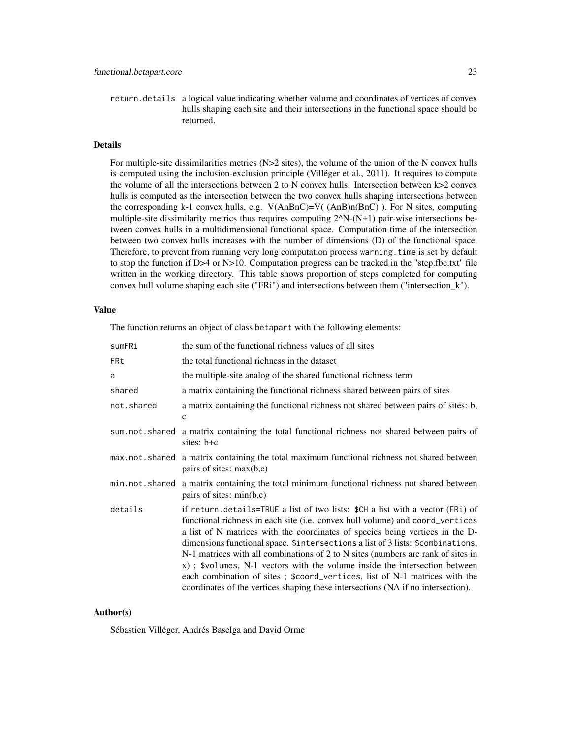return.details a logical value indicating whether volume and coordinates of vertices of convex hulls shaping each site and their intersections in the functional space should be returned.

# Details

For multiple-site dissimilarities metrics  $(N>2$  sites), the volume of the union of the N convex hulls is computed using the inclusion-exclusion principle (Villéger et al., 2011). It requires to compute the volume of all the intersections between 2 to N convex hulls. Intersection between k>2 convex hulls is computed as the intersection between the two convex hulls shaping intersections between the corresponding k-1 convex hulls, e.g. V(AnBnC)=V( (AnB)n(BnC) ). For N sites, computing multiple-site dissimilarity metrics thus requires computing  $2^N\text{N}-(N+1)$  pair-wise intersections between convex hulls in a multidimensional functional space. Computation time of the intersection between two convex hulls increases with the number of dimensions (D) of the functional space. Therefore, to prevent from running very long computation process warning.time is set by default to stop the function if D>4 or N>10. Computation progress can be tracked in the "step.fbc.txt" file written in the working directory. This table shows proportion of steps completed for computing convex hull volume shaping each site ("FRi") and intersections between them ("intersection\_k").

#### Value

The function returns an object of class betapart with the following elements:

| sumFRi         | the sum of the functional richness values of all sites                                                                                                                                                                                                                                                                                                                                                                                                                                                                                                                                                                                                                  |
|----------------|-------------------------------------------------------------------------------------------------------------------------------------------------------------------------------------------------------------------------------------------------------------------------------------------------------------------------------------------------------------------------------------------------------------------------------------------------------------------------------------------------------------------------------------------------------------------------------------------------------------------------------------------------------------------------|
| FRt            | the total functional richness in the dataset                                                                                                                                                                                                                                                                                                                                                                                                                                                                                                                                                                                                                            |
| a              | the multiple-site analog of the shared functional richness term                                                                                                                                                                                                                                                                                                                                                                                                                                                                                                                                                                                                         |
| shared         | a matrix containing the functional richness shared between pairs of sites                                                                                                                                                                                                                                                                                                                                                                                                                                                                                                                                                                                               |
| not.shared     | a matrix containing the functional richness not shared between pairs of sites: b,<br>$\mathbf{C}$                                                                                                                                                                                                                                                                                                                                                                                                                                                                                                                                                                       |
|                | sum not shared a matrix containing the total functional richness not shared between pairs of<br>sites: b+c                                                                                                                                                                                                                                                                                                                                                                                                                                                                                                                                                              |
|                | max not shared a matrix containing the total maximum functional richness not shared between<br>pairs of sites: $max(b,c)$                                                                                                                                                                                                                                                                                                                                                                                                                                                                                                                                               |
| min.not.shared | a matrix containing the total minimum functional richness not shared between<br>pairs of sites: $min(b,c)$                                                                                                                                                                                                                                                                                                                                                                                                                                                                                                                                                              |
| details        | if return.details=TRUE a list of two lists: \$CH a list with a vector (FRi) of<br>functional richness in each site (i.e. convex hull volume) and coord_vertices<br>a list of N matrices with the coordinates of species being vertices in the D-<br>dimensions functional space. \$intersections a list of 3 lists: \$combinations,<br>N-1 matrices with all combinations of 2 to N sites (numbers are rank of sites in<br>x); \$volumes, N-1 vectors with the volume inside the intersection between<br>each combination of sites; \$coord_vertices, list of N-1 matrices with the<br>coordinates of the vertices shaping these intersections (NA if no intersection). |

#### Author(s)

Sébastien Villéger, Andrés Baselga and David Orme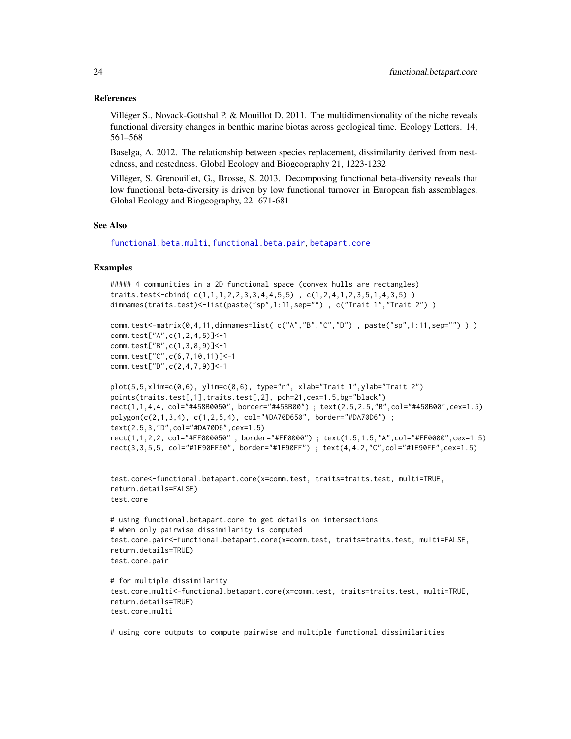#### <span id="page-23-0"></span>References

Villéger S., Novack-Gottshal P. & Mouillot D. 2011. The multidimensionality of the niche reveals functional diversity changes in benthic marine biotas across geological time. Ecology Letters. 14, 561–568

Baselga, A. 2012. The relationship between species replacement, dissimilarity derived from nestedness, and nestedness. Global Ecology and Biogeography 21, 1223-1232

Villéger, S. Grenouillet, G., Brosse, S. 2013. Decomposing functional beta-diversity reveals that low functional beta-diversity is driven by low functional turnover in European fish assemblages. Global Ecology and Biogeography, 22: 671-681

# See Also

[functional.beta.multi](#page-17-1), [functional.beta.pair](#page-19-1), [betapart.core](#page-12-1)

# Examples

```
##### 4 communities in a 2D functional space (convex hulls are rectangles)
traits.test<-cbind( c(1,1,1,2,2,3,3,4,4,5,5) , c(1,2,4,1,2,3,5,1,4,3,5) )
dimnames(traits.test)<-list(paste("sp",1:11,sep="") , c("Trait 1","Trait 2") )
```

```
comm.test<-matrix(0,4,11,dimnames=list( c("A","B","C","D") , paste("sp",1:11,sep="") ) )
comm.test["A",c(1,2,4,5)]<-1
comm.test["B",c(1,3,8,9)]<-1
comm.test["C",c(6,7,10,11)]<-1
comm.test["D",c(2,4,7,9)]<-1
```

```
plot(5,5,xlim=c(0,6), ylim=c(0,6), type="n", xlabel"Train='Trait 1", ylabel="Trait 2")points(traits.test[,1],traits.test[,2], pch=21,cex=1.5,bg="black")
rect(1,1,4,4, col="#458B0050", border="#458B00") ; text(2.5,2.5,"B",col="#458B00",cex=1.5)
polygon(c(2,1,3,4), c(1,2,5,4), col="#DA70D650", border="#DA70D6") ;
text(2.5,3,"D",col="#DA70D6",cex=1.5)
rect(1,1,2,2, col="#FF000050" , border="#FF0000") ; text(1.5,1.5,"A",col="#FF0000",cex=1.5)
rect(3,3,5,5, col="#1E90FF50", border="#1E90FF") ; text(4,4.2,"C",col="#1E90FF",cex=1.5)
```

```
test.core<-functional.betapart.core(x=comm.test, traits=traits.test, multi=TRUE,
return.details=FALSE)
test.core
```

```
# using functional.betapart.core to get details on intersections
# when only pairwise dissimilarity is computed
test.core.pair<-functional.betapart.core(x=comm.test, traits=traits.test, multi=FALSE,
return.details=TRUE)
test.core.pair
```

```
# for multiple dissimilarity
test.core.multi<-functional.betapart.core(x=comm.test, traits=traits.test, multi=TRUE,
return.details=TRUE)
test.core.multi
```
# using core outputs to compute pairwise and multiple functional dissimilarities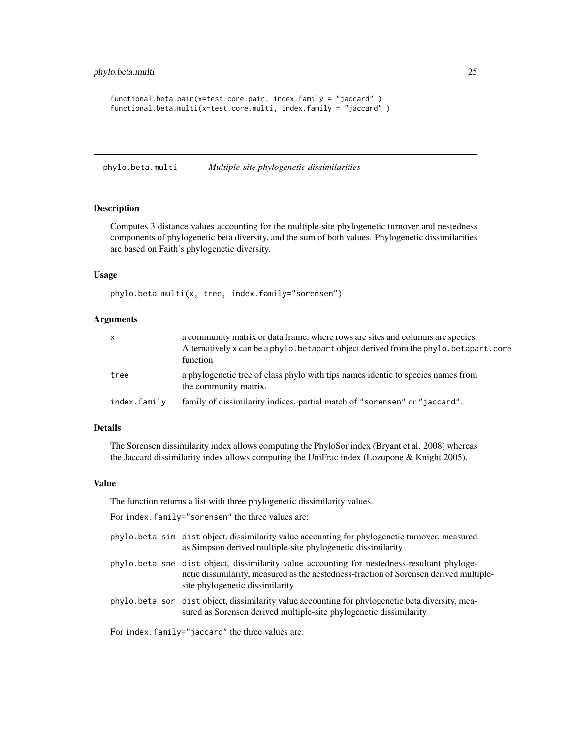```
functional.beta.pair(x=test.core.pair, index.family = "jaccard" )
functional.beta.multi(x=test.core.multi, index.family = "jaccard" )
```
<span id="page-24-1"></span>phylo.beta.multi *Multiple-site phylogenetic dissimilarities*

#### Description

Computes 3 distance values accounting for the multiple-site phylogenetic turnover and nestedness components of phylogenetic beta diversity, and the sum of both values. Phylogenetic dissimilarities are based on Faith's phylogenetic diversity.

#### Usage

phylo.beta.multi(x, tree, index.family="sorensen")

#### Arguments

| X.           | a community matrix or data frame, where rows are sites and columns are species.<br>Alternatively x can be a phylo. betapart object derived from the phylo. betapart. core<br>function |
|--------------|---------------------------------------------------------------------------------------------------------------------------------------------------------------------------------------|
| tree         | a phylogenetic tree of class phylo with tips names identic to species names from<br>the community matrix.                                                                             |
| index.family | family of dissimilarity indices, partial match of "sorensen" or "jaccard".                                                                                                            |

#### Details

The Sorensen dissimilarity index allows computing the PhyloSor index (Bryant et al. 2008) whereas the Jaccard dissimilarity index allows computing the UniFrac index (Lozupone & Knight 2005).

# Value

The function returns a list with three phylogenetic dissimilarity values.

For index.family="sorensen" the three values are:

- phylo.beta.sim dist object, dissimilarity value accounting for phylogenetic turnover, measured as Simpson derived multiple-site phylogenetic dissimilarity
- phylo.beta.sne dist object, dissimilarity value accounting for nestedness-resultant phylogenetic dissimilarity, measured as the nestedness-fraction of Sorensen derived multiplesite phylogenetic dissimilarity
- phylo.beta.sor dist object, dissimilarity value accounting for phylogenetic beta diversity, measured as Sorensen derived multiple-site phylogenetic dissimilarity

For index.family="jaccard" the three values are: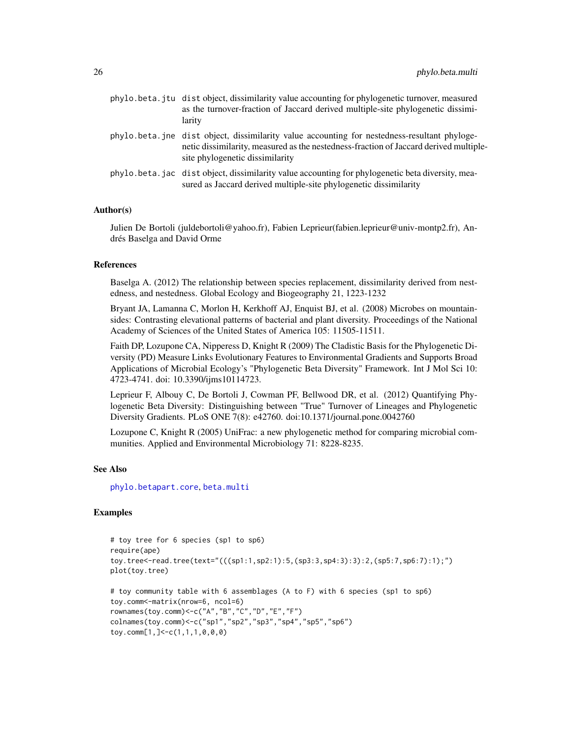<span id="page-25-0"></span>

| phylo.beta.jtu dist object, dissimilarity value accounting for phylogenetic turnover, measured<br>as the turnover-fraction of Jaccard derived multiple-site phylogenetic dissimi-<br>larity                              |
|--------------------------------------------------------------------------------------------------------------------------------------------------------------------------------------------------------------------------|
| phylo.beta.jne dist object, dissimilarity value accounting for nestedness-resultant phyloge-<br>netic dissimilarity, measured as the nestedness-fraction of Jaccard derived multiple-<br>site phylogenetic dissimilarity |
| phylo, beta, jac dist object, dissimilarity value accounting for phylogenetic beta diversity, mea-<br>sured as Jaccard derived multiple-site phylogenetic dissimilarity                                                  |

# Author(s)

Julien De Bortoli (juldebortoli@yahoo.fr), Fabien Leprieur(fabien.leprieur@univ-montp2.fr), Andrés Baselga and David Orme

#### **References**

Baselga A. (2012) The relationship between species replacement, dissimilarity derived from nestedness, and nestedness. Global Ecology and Biogeography 21, 1223-1232

Bryant JA, Lamanna C, Morlon H, Kerkhoff AJ, Enquist BJ, et al. (2008) Microbes on mountainsides: Contrasting elevational patterns of bacterial and plant diversity. Proceedings of the National Academy of Sciences of the United States of America 105: 11505-11511.

Faith DP, Lozupone CA, Nipperess D, Knight R (2009) The Cladistic Basis for the Phylogenetic Diversity (PD) Measure Links Evolutionary Features to Environmental Gradients and Supports Broad Applications of Microbial Ecology's "Phylogenetic Beta Diversity" Framework. Int J Mol Sci 10: 4723-4741. doi: 10.3390/ijms10114723.

Leprieur F, Albouy C, De Bortoli J, Cowman PF, Bellwood DR, et al. (2012) Quantifying Phylogenetic Beta Diversity: Distinguishing between "True" Turnover of Lineages and Phylogenetic Diversity Gradients. PLoS ONE 7(8): e42760. doi:10.1371/journal.pone.0042760

Lozupone C, Knight R (2005) UniFrac: a new phylogenetic method for comparing microbial communities. Applied and Environmental Microbiology 71: 8228-8235.

#### See Also

[phylo.betapart.core](#page-28-1), [beta.multi](#page-2-1)

```
# toy tree for 6 species (sp1 to sp6)
require(ape)
toy.tree<-read.tree(text="(((sp1:1,sp2:1):5,(sp3:3,sp4:3):3):2,(sp5:7,sp6:7):1);")
plot(toy.tree)
# toy community table with 6 assemblages (A to F) with 6 species (sp1 to sp6)
toy.comm<-matrix(nrow=6, ncol=6)
rownames(toy.comm)<-c("A","B","C","D","E","F")
colnames(toy.comm)<-c("sp1","sp2","sp3","sp4","sp5","sp6")
toy.comm[1,]<-c(1,1,1,0,0,0)
```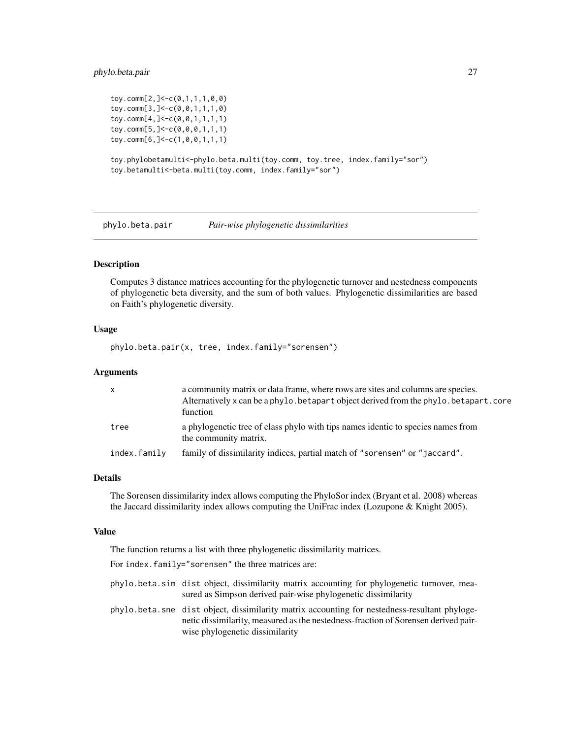## <span id="page-26-0"></span>phylo.beta.pair 27

```
toy.comm[2,]<-c(0,1,1,1,0,0)
toy.comm[3,]<-c(0,0,1,1,1,0)
toy.comm[4,]<-c(0,0,1,1,1,1)
toy.comm[5,]<-c(0,0,0,1,1,1)
toy.comm[6,]<-c(1,0,0,1,1,1)
toy.phylobetamulti<-phylo.beta.multi(toy.comm, toy.tree, index.family="sor")
toy.betamulti<-beta.multi(toy.comm, index.family="sor")
```
<span id="page-26-1"></span>phylo.beta.pair *Pair-wise phylogenetic dissimilarities*

#### Description

Computes 3 distance matrices accounting for the phylogenetic turnover and nestedness components of phylogenetic beta diversity, and the sum of both values. Phylogenetic dissimilarities are based on Faith's phylogenetic diversity.

## Usage

phylo.beta.pair(x, tree, index.family="sorensen")

#### Arguments

| $\mathsf{X}$ | a community matrix or data frame, where rows are sites and columns are species.<br>Alternatively x can be a phylo. betapart object derived from the phylo. betapart. core<br>function |
|--------------|---------------------------------------------------------------------------------------------------------------------------------------------------------------------------------------|
| tree         | a phylogenetic tree of class phylo with tips names identic to species names from<br>the community matrix.                                                                             |
| index.family | family of dissimilarity indices, partial match of "sorensen" or "jaccard".                                                                                                            |

#### Details

The Sorensen dissimilarity index allows computing the PhyloSor index (Bryant et al. 2008) whereas the Jaccard dissimilarity index allows computing the UniFrac index (Lozupone & Knight 2005).

#### Value

The function returns a list with three phylogenetic dissimilarity matrices.

For index.family="sorensen" the three matrices are:

- phylo.beta.sim dist object, dissimilarity matrix accounting for phylogenetic turnover, measured as Simpson derived pair-wise phylogenetic dissimilarity
- phylo.beta.sne dist object, dissimilarity matrix accounting for nestedness-resultant phylogenetic dissimilarity, measured as the nestedness-fraction of Sorensen derived pairwise phylogenetic dissimilarity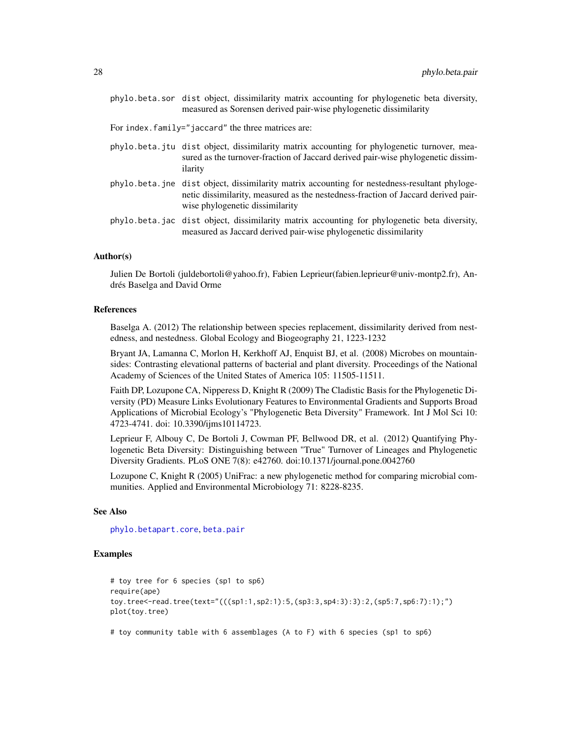<span id="page-27-0"></span>phylo.beta.sor dist object, dissimilarity matrix accounting for phylogenetic beta diversity, measured as Sorensen derived pair-wise phylogenetic dissimilarity

For index.family="jaccard" the three matrices are:

- phylo.beta.jtu dist object, dissimilarity matrix accounting for phylogenetic turnover, measured as the turnover-fraction of Jaccard derived pair-wise phylogenetic dissimilarity
- phylo.beta.jne dist object, dissimilarity matrix accounting for nestedness-resultant phylogenetic dissimilarity, measured as the nestedness-fraction of Jaccard derived pairwise phylogenetic dissimilarity
- phylo.beta.jac dist object, dissimilarity matrix accounting for phylogenetic beta diversity, measured as Jaccard derived pair-wise phylogenetic dissimilarity

# Author(s)

Julien De Bortoli (juldebortoli@yahoo.fr), Fabien Leprieur(fabien.leprieur@univ-montp2.fr), Andrés Baselga and David Orme

#### References

Baselga A. (2012) The relationship between species replacement, dissimilarity derived from nestedness, and nestedness. Global Ecology and Biogeography 21, 1223-1232

Bryant JA, Lamanna C, Morlon H, Kerkhoff AJ, Enquist BJ, et al. (2008) Microbes on mountainsides: Contrasting elevational patterns of bacterial and plant diversity. Proceedings of the National Academy of Sciences of the United States of America 105: 11505-11511.

Faith DP, Lozupone CA, Nipperess D, Knight R (2009) The Cladistic Basis for the Phylogenetic Diversity (PD) Measure Links Evolutionary Features to Environmental Gradients and Supports Broad Applications of Microbial Ecology's "Phylogenetic Beta Diversity" Framework. Int J Mol Sci 10: 4723-4741. doi: 10.3390/ijms10114723.

Leprieur F, Albouy C, De Bortoli J, Cowman PF, Bellwood DR, et al. (2012) Quantifying Phylogenetic Beta Diversity: Distinguishing between "True" Turnover of Lineages and Phylogenetic Diversity Gradients. PLoS ONE 7(8): e42760. doi:10.1371/journal.pone.0042760

Lozupone C, Knight R (2005) UniFrac: a new phylogenetic method for comparing microbial communities. Applied and Environmental Microbiology 71: 8228-8235.

#### See Also

[phylo.betapart.core](#page-28-1), [beta.pair](#page-4-1)

# Examples

```
# toy tree for 6 species (sp1 to sp6)
require(ape)
toy.tree<-read.tree(text="(((sp1:1,sp2:1):5,(sp3:3,sp4:3):3):2,(sp5:7,sp6:7):1);")
plot(toy.tree)
```
# toy community table with 6 assemblages (A to F) with 6 species (sp1 to sp6)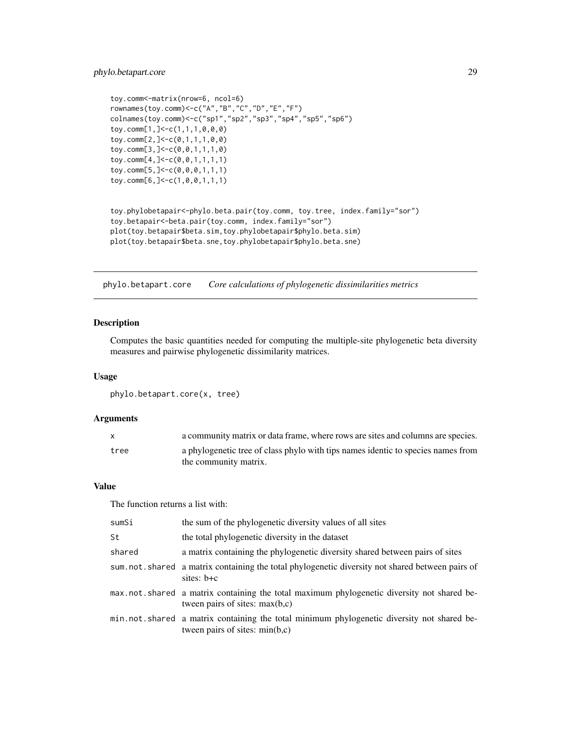# <span id="page-28-0"></span>phylo.betapart.core 29

```
toy.comm<-matrix(nrow=6, ncol=6)
rownames(toy.comm)<-c("A","B","C","D","E","F")
colnames(toy.comm)<-c("sp1","sp2","sp3","sp4","sp5","sp6")
toy.comm[1,]<-c(1,1,1,0,0,0)
toy.comm[2,]<-c(0,1,1,1,0,0)
toy.comm[3,]<-c(0,0,1,1,1,0)
toy.comm[4,]<-c(0,0,1,1,1,1)
toy.comm[5,]<-c(0,0,0,1,1,1)
toy.comm[6,]<-c(1,0,0,1,1,1)
toy.phylobetapair<-phylo.beta.pair(toy.comm, toy.tree, index.family="sor")
toy.betapair<-beta.pair(toy.comm, index.family="sor")
plot(toy.betapair$beta.sim,toy.phylobetapair$phylo.beta.sim)
plot(toy.betapair$beta.sne,toy.phylobetapair$phylo.beta.sne)
```
<span id="page-28-1"></span>phylo.betapart.core *Core calculations of phylogenetic dissimilarities metrics*

# Description

Computes the basic quantities needed for computing the multiple-site phylogenetic beta diversity measures and pairwise phylogenetic dissimilarity matrices.

#### Usage

phylo.betapart.core(x, tree)

#### Arguments

|      | a community matrix or data frame, where rows are sites and columns are species.  |
|------|----------------------------------------------------------------------------------|
| tree | a phylogenetic tree of class phylo with tips names identic to species names from |
|      | the community matrix.                                                            |

# Value

The function returns a list with:

| sumSi  | the sum of the phylogenetic diversity values of all sites                                                                      |
|--------|--------------------------------------------------------------------------------------------------------------------------------|
| St     | the total phylogenetic diversity in the dataset                                                                                |
| shared | a matrix containing the phylogenetic diversity shared between pairs of sites                                                   |
|        | sum. not. shared a matrix containing the total phylogenetic diversity not shared between pairs of<br>sites: $b+c$              |
|        | max not shared a matrix containing the total maximum phylogenetic diversity not shared be-<br>tween pairs of sites: $max(b,c)$ |
|        | min.not.shared a matrix containing the total minimum phylogenetic diversity not shared be-<br>tween pairs of sites: $min(b,c)$ |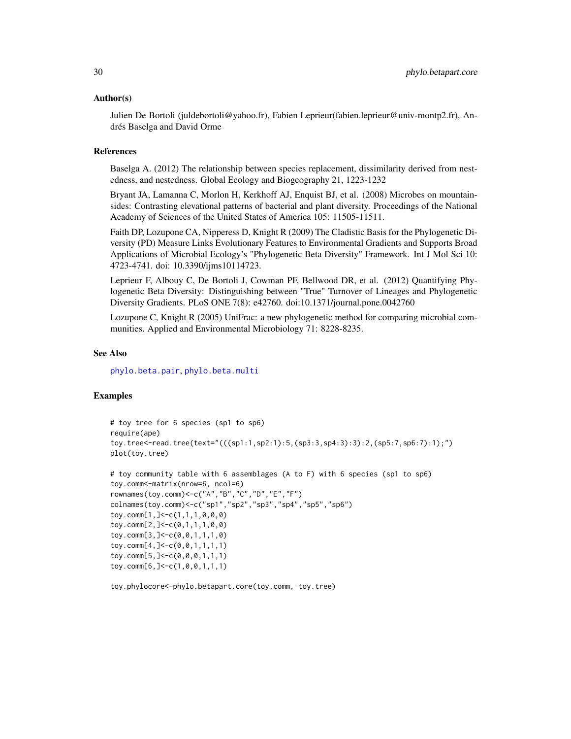#### <span id="page-29-0"></span>Author(s)

Julien De Bortoli (juldebortoli@yahoo.fr), Fabien Leprieur(fabien.leprieur@univ-montp2.fr), Andrés Baselga and David Orme

#### References

Baselga A. (2012) The relationship between species replacement, dissimilarity derived from nestedness, and nestedness. Global Ecology and Biogeography 21, 1223-1232

Bryant JA, Lamanna C, Morlon H, Kerkhoff AJ, Enquist BJ, et al. (2008) Microbes on mountainsides: Contrasting elevational patterns of bacterial and plant diversity. Proceedings of the National Academy of Sciences of the United States of America 105: 11505-11511.

Faith DP, Lozupone CA, Nipperess D, Knight R (2009) The Cladistic Basis for the Phylogenetic Diversity (PD) Measure Links Evolutionary Features to Environmental Gradients and Supports Broad Applications of Microbial Ecology's "Phylogenetic Beta Diversity" Framework. Int J Mol Sci 10: 4723-4741. doi: 10.3390/ijms10114723.

Leprieur F, Albouy C, De Bortoli J, Cowman PF, Bellwood DR, et al. (2012) Quantifying Phylogenetic Beta Diversity: Distinguishing between "True" Turnover of Lineages and Phylogenetic Diversity Gradients. PLoS ONE 7(8): e42760. doi:10.1371/journal.pone.0042760

Lozupone C, Knight R (2005) UniFrac: a new phylogenetic method for comparing microbial communities. Applied and Environmental Microbiology 71: 8228-8235.

# See Also

[phylo.beta.pair](#page-26-1), [phylo.beta.multi](#page-24-1)

# Examples

```
# toy tree for 6 species (sp1 to sp6)
require(ape)
toy.tree<-read.tree(text="(((sp1:1,sp2:1):5,(sp3:3,sp4:3):3):2,(sp5:7,sp6:7):1);")
plot(toy.tree)
```

```
# toy community table with 6 assemblages (A to F) with 6 species (sp1 to sp6)
toy.comm<-matrix(nrow=6, ncol=6)
rownames(toy.comm)<-c("A","B","C","D","E","F")
colnames(toy.comm)<-c("sp1","sp2","sp3","sp4","sp5","sp6")
toy.comm[1,]<-c(1,1,1,0,0,0)
toy.comm[2,]<-c(0,1,1,1,0,0)
toy.comm[3,]<-c(0,0,1,1,1,0)
toy.comm[4,]<-c(0,0,1,1,1,1)
toy.comm[5,]<-c(0,0,0,1,1,1)
toy.comm[6,]<-c(1,0,0,1,1,1)
```
toy.phylocore<-phylo.betapart.core(toy.comm, toy.tree)